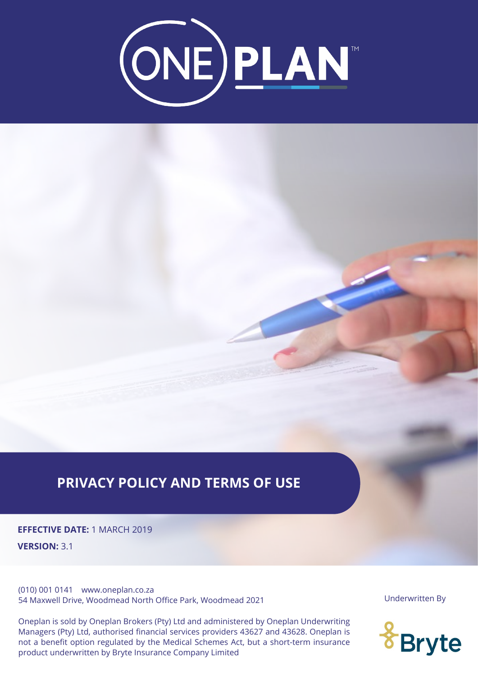

# **PRIVACY POLICY AND TERMS OF USE**

**EFFECTIVE DATE:** 1 MARCH 2019 **VERSION:** 3.1

(010) 001 0141 www.oneplan.co.za 54 Maxwell Drive, Woodmead North Office Park, Woodmead 2021

One option regarded by the medied benefites riet, but a short term insurance product underwritten by Bryte Insurance Company Limited<br>product underwritten by Bryte Insurance Company Limited Managers (Pty) Ltd, authorised financial services providers 43627 and 43628. Oneplan is not a benefit option regulated by the Medical Schemes Act, but a short-term insurance Oneplan is sold by Oneplan Brokers (Pty) Ltd and administered by Oneplan Underwriting

Underwritten By

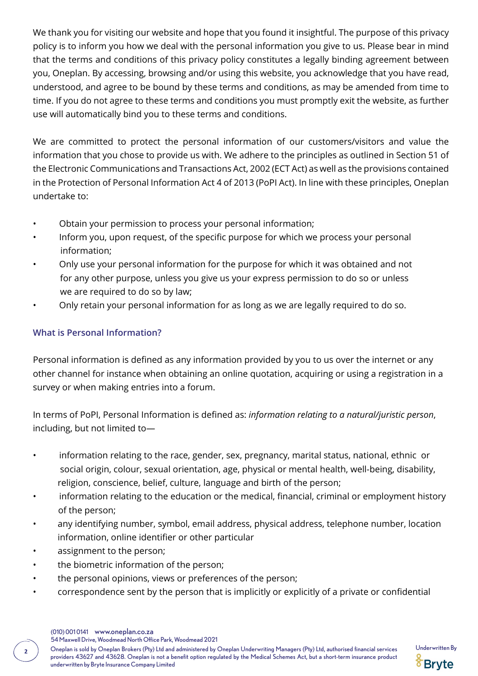We thank you for visiting our website and hope that you found it insightful. The purpose of this privacy policy is to inform you how we deal with the personal information you give to us. Please bear in mind that the terms and conditions of this privacy policy constitutes a legally binding agreement between you, Oneplan. By accessing, browsing and/or using this website, you acknowledge that you have read, understood, and agree to be bound by these terms and conditions, as may be amended from time to time. If you do not agree to these terms and conditions you must promptly exit the website, as further use will automatically bind you to these terms and conditions.

We are committed to protect the personal information of our customers/visitors and value the information that you chose to provide us with. We adhere to the principles as outlined in Section 51 of the Electronic Communications and Transactions Act, 2002 (ECT Act) as well as the provisions contained in the Protection of Personal Information Act 4 of 2013 (PoPI Act). In line with these principles, Oneplan undertake to:

- Obtain your permission to process your personal information;
- Inform you, upon request, of the specific purpose for which we process your personal information;
- Only use your personal information for the purpose for which it was obtained and not for any other purpose, unless you give us your express permission to do so or unless we are required to do so by law;
- Only retain your personal information for as long as we are legally required to do so.

# **What is Personal Information?**

Personal information is defined as any information provided by you to us over the internet or any other channel for instance when obtaining an online quotation, acquiring or using a registration in a survey or when making entries into a forum.

In terms of PoPI, Personal Information is defined as: *information relating to a natural/juristic person*, including, but not limited to—

- information relating to the race, gender, sex, pregnancy, marital status, national, ethnic or social origin, colour, sexual orientation, age, physical or mental health, well-being, disability, religion, conscience, belief, culture, language and birth of the person;
- information relating to the education or the medical, financial, criminal or employment history of the person;
- any identifying number, symbol, email address, physical address, telephone number, location information, online identifier or other particular
- assignment to the person;
- the biometric information of the person;
- the personal opinions, views or preferences of the person;
- correspondence sent by the person that is implicitly or explicitly of a private or confidential

54 Maxwell Drive, Woodmead North Office Park, Woodmead 2021

Oneplan is sold by Oneplan Brokers (Pty) Ltd and administered by Oneplan Underwriting Managers (Pty) Ltd, authorised financial services Underwritten By **<sup>2</sup>** providers 43627 and 43628. Oneplan is not a benefit option regulated by the Medical Schemes Act, but a short-term insurance product underwritten by Bryte Insurance Company Limited

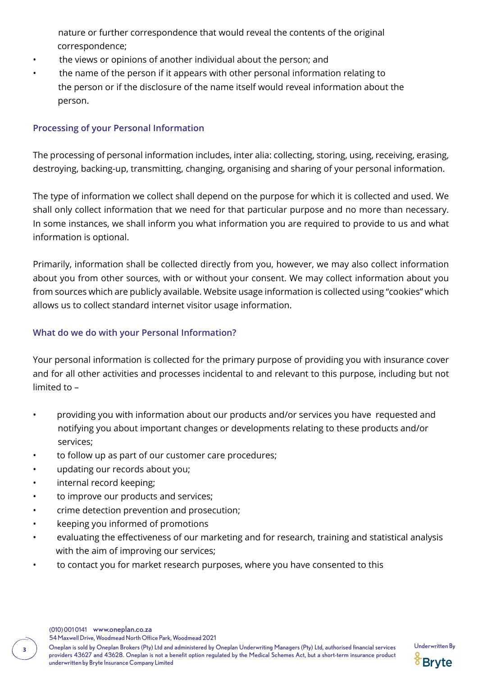nature or further correspondence that would reveal the contents of the original correspondence;

- the views or opinions of another individual about the person; and
- the name of the person if it appears with other personal information relating to the person or if the disclosure of the name itself would reveal information about the person.

# **Processing of your Personal Information**

The processing of personal information includes, inter alia: collecting, storing, using, receiving, erasing, destroying, backing-up, transmitting, changing, organising and sharing of your personal information.

The type of information we collect shall depend on the purpose for which it is collected and used. We shall only collect information that we need for that particular purpose and no more than necessary. In some instances, we shall inform you what information you are required to provide to us and what information is optional.

Primarily, information shall be collected directly from you, however, we may also collect information about you from other sources, with or without your consent. We may collect information about you from sources which are publicly available. Website usage information is collected using "cookies" which allows us to collect standard internet visitor usage information.

# **What do we do with your Personal Information?**

Your personal information is collected for the primary purpose of providing you with insurance cover and for all other activities and processes incidental to and relevant to this purpose, including but not limited to –

- providing you with information about our products and/or services you have requested and notifying you about important changes or developments relating to these products and/or services;
- to follow up as part of our customer care procedures;
- updating our records about you;
- internal record keeping;
- to improve our products and services;
- crime detection prevention and prosecution;
- keeping you informed of promotions
- evaluating the effectiveness of our marketing and for research, training and statistical analysis with the aim of improving our services;
- to contact you for market research purposes, where you have consented to this

54 Maxwell Drive, Woodmead North Office Park, Woodmead 2021

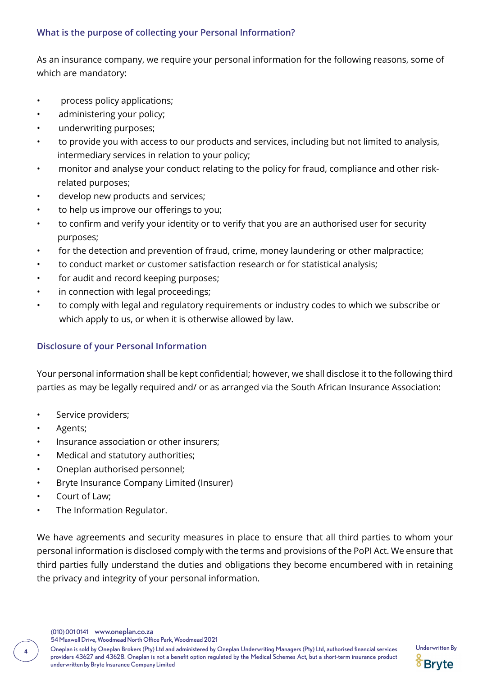## **What is the purpose of collecting your Personal Information?**

As an insurance company, we require your personal information for the following reasons, some of which are mandatory:

- process policy applications;
- administering your policy;
- underwriting purposes;
- to provide you with access to our products and services, including but not limited to analysis, intermediary services in relation to your policy;
- monitor and analyse your conduct relating to the policy for fraud, compliance and other risk related purposes;
- develop new products and services;
- to help us improve our offerings to you;
- to confirm and verify your identity or to verify that you are an authorised user for security purposes;
- for the detection and prevention of fraud, crime, money laundering or other malpractice;
- to conduct market or customer satisfaction research or for statistical analysis;
- for audit and record keeping purposes:
- in connection with legal proceedings;
- to comply with legal and regulatory requirements or industry codes to which we subscribe or which apply to us, or when it is otherwise allowed by law.

#### **Disclosure of your Personal Information**

Your personal information shall be kept confidential; however, we shall disclose it to the following third parties as may be legally required and/ or as arranged via the South African Insurance Association:

- Service providers;
- Agents;
- Insurance association or other insurers;
- Medical and statutory authorities;
- Oneplan authorised personnel;
- Bryte Insurance Company Limited (Insurer)
- Court of Law;
- The Information Regulator.

We have agreements and security measures in place to ensure that all third parties to whom your personal information is disclosed comply with the terms and provisions of the PoPI Act. We ensure that third parties fully understand the duties and obligations they become encumbered with in retaining the privacy and integrity of your personal information.

(010) 001 0141 www.oneplan.co.za

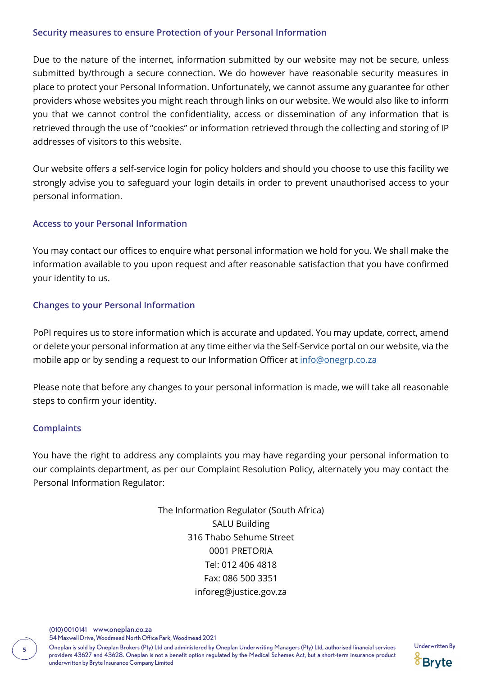#### **Security measures to ensure Protection of your Personal Information**

Due to the nature of the internet, information submitted by our website may not be secure, unless submitted by/through a secure connection. We do however have reasonable security measures in place to protect your Personal Information. Unfortunately, we cannot assume any guarantee for other providers whose websites you might reach through links on our website. We would also like to inform you that we cannot control the confidentiality, access or dissemination of any information that is retrieved through the use of "cookies" or information retrieved through the collecting and storing of IP addresses of visitors to this website.

Our website offers a self-service login for policy holders and should you choose to use this facility we strongly advise you to safeguard your login details in order to prevent unauthorised access to your personal information.

## **Access to your Personal Information**

You may contact our offices to enquire what personal information we hold for you. We shall make the information available to you upon request and after reasonable satisfaction that you have confirmed your identity to us.

## **Changes to your Personal Information**

PoPI requires us to store information which is accurate and updated. You may update, correct, amend or delete your personal information at any time either via the Self-Service portal on our website, via the mobile app or by sending a request to our Information Officer at [info@onegrp.co.za](http://info@onegrp.co.za)

Please note that before any changes to your personal information is made, we will take all reasonable steps to confirm your identity.

#### **Complaints**

You have the right to address any complaints you may have regarding your personal information to our complaints department, as per our Complaint Resolution Policy, alternately you may contact the Personal Information Regulator:

> The Information Regulator (South Africa) SALU Building 316 Thabo Sehume Street 0001 PRETORIA Tel: 012 406 4818 Fax: 086 500 3351 inforeg@justice.gov.za

(010) 001 0141 www.oneplan.co.za

54 Maxwell Drive, Woodmead North Office Park, Woodmead 2021

Oneplan is sold by Oneplan Brokers (Pty) Ltd and administered by Oneplan Underwriting Managers (Pty) Ltd, authorised financial services Underwritten By **<sup>5</sup>** providers 43627 and 43628. Oneplan is not a benefit option regulated by the Medical Schemes Act, but a short-term insurance product underwritten by Bryte Insurance Company Limited

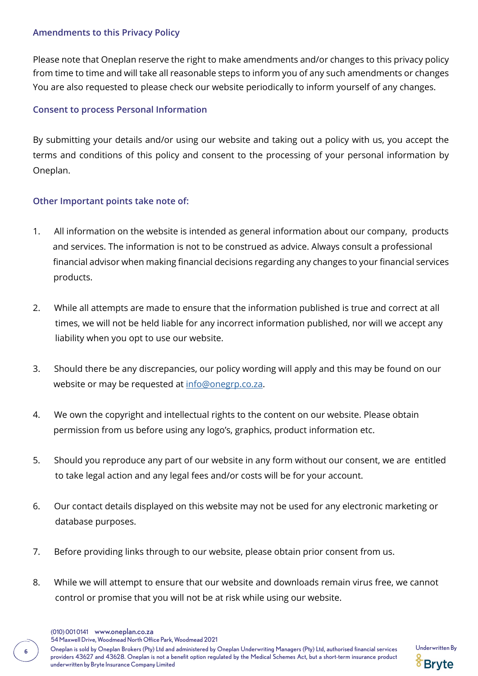#### **Amendments to this Privacy Policy**

Please note that Oneplan reserve the right to make amendments and/or changes to this privacy policy from time to time and will take all reasonable steps to inform you of any such amendments or changes You are also requested to please check our website periodically to inform yourself of any changes.

## **Consent to process Personal Information**

By submitting your details and/or using our website and taking out a policy with us, you accept the terms and conditions of this policy and consent to the processing of your personal information by Oneplan.

## **Other Important points take note of:**

- 1. All information on the website is intended as general information about our company, products and services. The information is not to be construed as advice. Always consult a professional financial advisor when making financial decisions regarding any changes to your financial services products.
- 2. While all attempts are made to ensure that the information published is true and correct at all times, we will not be held liable for any incorrect information published, nor will we accept any liability when you opt to use our website.
- 3. Should there be any discrepancies, our policy wording will apply and this may be found on our website or may be requested at [info@onegrp.co.za](http://info@onegrp.co.za).
- 4. We own the copyright and intellectual rights to the content on our website. Please obtain permission from us before using any logo's, graphics, product information etc.
- 5. Should you reproduce any part of our website in any form without our consent, we are entitled to take legal action and any legal fees and/or costs will be for your account.
- 6. Our contact details displayed on this website may not be used for any electronic marketing or database purposes.
- 7. Before providing links through to our website, please obtain prior consent from us.
- 8. While we will attempt to ensure that our website and downloads remain virus free, we cannot control or promise that you will not be at risk while using our website.
	- (010) 001 0141 www.oneplan.co.za

54 Maxwell Drive, Woodmead North Office Park, Woodmead 2021

Oneplan is sold by Oneplan Brokers (Pty) Ltd and administered by Oneplan Underwriting Managers (Pty) Ltd, authorised financial services Underwritten By **<sup>6</sup>** providers 43627 and 43628. Oneplan is not a benefit option regulated by the Medical Schemes Act, but a short-term insurance product underwritten by Bryte Insurance Company Limited